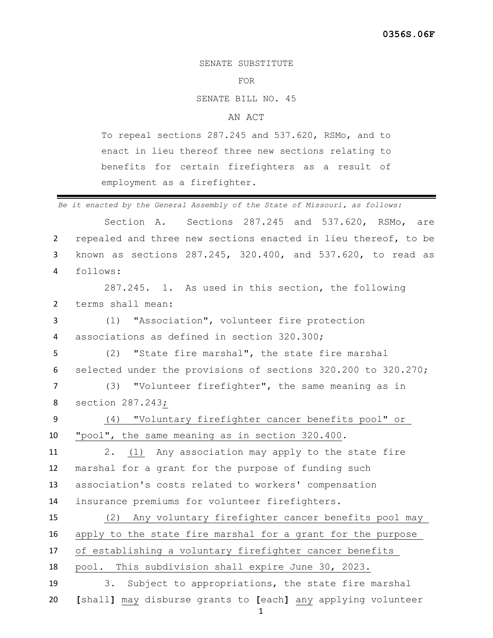## SENATE SUBSTITUTE

## FOR

SENATE BILL NO. 45

## AN ACT

To repeal sections 287.245 and 537.620, RSMo, and to enact in lieu thereof three new sections relating to benefits for certain firefighters as a result of employment as a firefighter.

*Be it enacted by the General Assembly of the State of Missouri, as follows:* Section A. Sections 287.245 and 537.620, RSMo, are repealed and three new sections enacted in lieu thereof, to be known as sections 287.245, 320.400, and 537.620, to read as follows: 287.245. 1. As used in this section, the following terms shall mean:

 (1) "Association", volunteer fire protection associations as defined in section 320.300;

 (2) "State fire marshal", the state fire marshal selected under the provisions of sections 320.200 to 320.270;

 (3) "Volunteer firefighter", the same meaning as in section 287.243;

 (4) "Voluntary firefighter cancer benefits pool" or "pool", the same meaning as in section 320.400.

 2. (1) Any association may apply to the state fire marshal for a grant for the purpose of funding such association's costs related to workers' compensation insurance premiums for volunteer firefighters.

 (2) Any voluntary firefighter cancer benefits pool may apply to the state fire marshal for a grant for the purpose of establishing a voluntary firefighter cancer benefits pool. This subdivision shall expire June 30, 2023. 3. Subject to appropriations, the state fire marshal **[**shall**]** may disburse grants to **[**each**]** any applying volunteer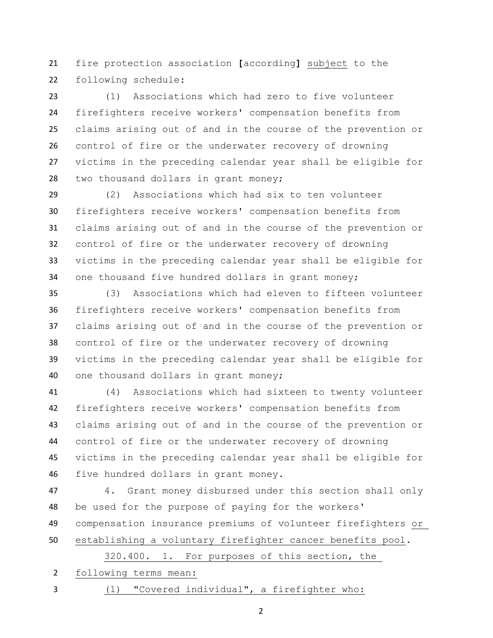fire protection association **[**according**]** subject to the following schedule:

 (1) Associations which had zero to five volunteer firefighters receive workers' compensation benefits from claims arising out of and in the course of the prevention or control of fire or the underwater recovery of drowning victims in the preceding calendar year shall be eligible for two thousand dollars in grant money;

 (2) Associations which had six to ten volunteer firefighters receive workers' compensation benefits from claims arising out of and in the course of the prevention or control of fire or the underwater recovery of drowning victims in the preceding calendar year shall be eligible for one thousand five hundred dollars in grant money;

 (3) Associations which had eleven to fifteen volunteer firefighters receive workers' compensation benefits from claims arising out of and in the course of the prevention or control of fire or the underwater recovery of drowning victims in the preceding calendar year shall be eligible for one thousand dollars in grant money;

 (4) Associations which had sixteen to twenty volunteer firefighters receive workers' compensation benefits from claims arising out of and in the course of the prevention or control of fire or the underwater recovery of drowning victims in the preceding calendar year shall be eligible for five hundred dollars in grant money.

 4. Grant money disbursed under this section shall only be used for the purpose of paying for the workers' compensation insurance premiums of volunteer firefighters or establishing a voluntary firefighter cancer benefits pool.

320.400. 1. For purposes of this section, the

following terms mean:

(1) "Covered individual", a firefighter who: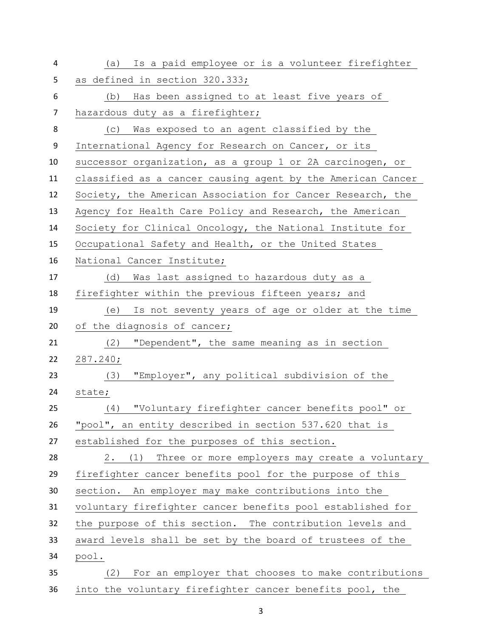| 4              | Is a paid employee or is a volunteer firefighter<br>(a)     |
|----------------|-------------------------------------------------------------|
| 5              | as defined in section 320.333;                              |
| 6              | Has been assigned to at least five years of<br>(b)          |
| $\overline{7}$ | hazardous duty as a firefighter;                            |
| 8              | Was exposed to an agent classified by the<br>(C)            |
| 9              | International Agency for Research on Cancer, or its         |
| 10             | successor organization, as a group 1 or 2A carcinogen, or   |
| 11             | classified as a cancer causing agent by the American Cancer |
| 12             | Society, the American Association for Cancer Research, the  |
| 13             | Agency for Health Care Policy and Research, the American    |
| 14             | Society for Clinical Oncology, the National Institute for   |
| 15             | Occupational Safety and Health, or the United States        |
| 16             | National Cancer Institute;                                  |
| 17             | Was last assigned to hazardous duty as a<br>(d)             |
| 18             | firefighter within the previous fifteen years; and          |
| 19             | Is not seventy years of age or older at the time<br>(e)     |
| 20             | of the diagnosis of cancer;                                 |
| 21             | (2)<br>"Dependent", the same meaning as in section          |
| 22             | 287.240;                                                    |
| 23             | "Employer", any political subdivision of the<br>(3)         |
| 24             | state;                                                      |
| 25             | "Voluntary firefighter cancer benefits pool" or<br>(4)      |
| 26             | "pool", an entity described in section 537.620 that is      |
| 27             | established for the purposes of this section.               |
| 28             | (1) Three or more employers may create a voluntary<br>2.    |
| 29             | firefighter cancer benefits pool for the purpose of this    |
| 30             | section. An employer may make contributions into the        |
| 31             | voluntary firefighter cancer benefits pool established for  |
| 32             | the purpose of this section. The contribution levels and    |
| 33             | award levels shall be set by the board of trustees of the   |
| 34             | pool.                                                       |
| 35             | For an employer that chooses to make contributions<br>(2)   |
| 36             | into the voluntary firefighter cancer benefits pool, the    |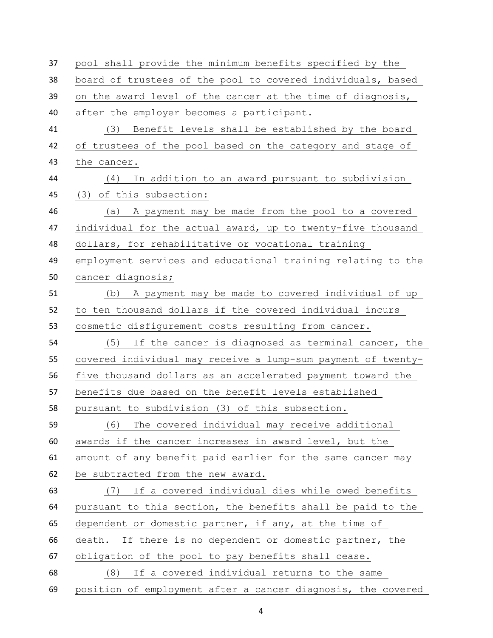| 37 | pool shall provide the minimum benefits specified by the     |
|----|--------------------------------------------------------------|
| 38 | board of trustees of the pool to covered individuals, based  |
| 39 | on the award level of the cancer at the time of diagnosis,   |
| 40 | after the employer becomes a participant.                    |
| 41 | Benefit levels shall be established by the board<br>(3)      |
| 42 | of trustees of the pool based on the category and stage of   |
| 43 | the cancer.                                                  |
| 44 | In addition to an award pursuant to subdivision<br>(4)       |
| 45 | (3) of this subsection:                                      |
| 46 | A payment may be made from the pool to a covered<br>(a)      |
| 47 | individual for the actual award, up to twenty-five thousand  |
| 48 | dollars, for rehabilitative or vocational training           |
| 49 | employment services and educational training relating to the |
| 50 | cancer diagnosis;                                            |
| 51 | (b) A payment may be made to covered individual of up        |
| 52 | to ten thousand dollars if the covered individual incurs     |
| 53 | cosmetic disfigurement costs resulting from cancer.          |
| 54 | (5) If the cancer is diagnosed as terminal cancer, the       |
| 55 | covered individual may receive a lump-sum payment of twenty- |
| 56 | five thousand dollars as an accelerated payment toward the   |
| 57 | benefits due based on the benefit levels established         |
| 58 | pursuant to subdivision (3) of this subsection.              |
| 59 | The covered individual may receive additional<br>(6)         |
| 60 | awards if the cancer increases in award level, but the       |
| 61 | amount of any benefit paid earlier for the same cancer may   |
| 62 | be subtracted from the new award.                            |
| 63 | (7) If a covered individual dies while owed benefits         |
| 64 | pursuant to this section, the benefits shall be paid to the  |
| 65 | dependent or domestic partner, if any, at the time of        |
| 66 | death. If there is no dependent or domestic partner, the     |
| 67 | obligation of the pool to pay benefits shall cease.          |
| 68 | If a covered individual returns to the same<br>(8)           |
| 69 | position of employment after a cancer diagnosis, the covered |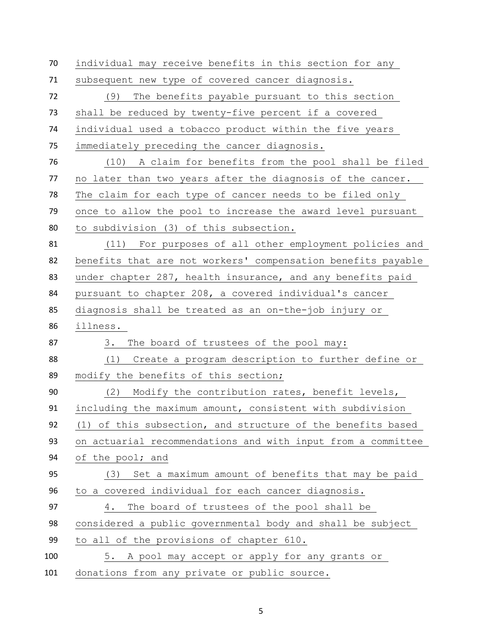individual may receive benefits in this section for any subsequent new type of covered cancer diagnosis. (9) The benefits payable pursuant to this section shall be reduced by twenty-five percent if a covered individual used a tobacco product within the five years immediately preceding the cancer diagnosis. (10) A claim for benefits from the pool shall be filed no later than two years after the diagnosis of the cancer. The claim for each type of cancer needs to be filed only once to allow the pool to increase the award level pursuant to subdivision (3) of this subsection. (11) For purposes of all other employment policies and benefits that are not workers' compensation benefits payable under chapter 287, health insurance, and any benefits paid pursuant to chapter 208, a covered individual's cancer diagnosis shall be treated as an on-the-job injury or illness. 87 3. The board of trustees of the pool may: (1) Create a program description to further define or modify the benefits of this section; (2) Modify the contribution rates, benefit levels, including the maximum amount, consistent with subdivision (1) of this subsection, and structure of the benefits based on actuarial recommendations and with input from a committee of the pool; and (3) Set a maximum amount of benefits that may be paid to a covered individual for each cancer diagnosis. 4. The board of trustees of the pool shall be considered a public governmental body and shall be subject to all of the provisions of chapter 610. 5. A pool may accept or apply for any grants or donations from any private or public source.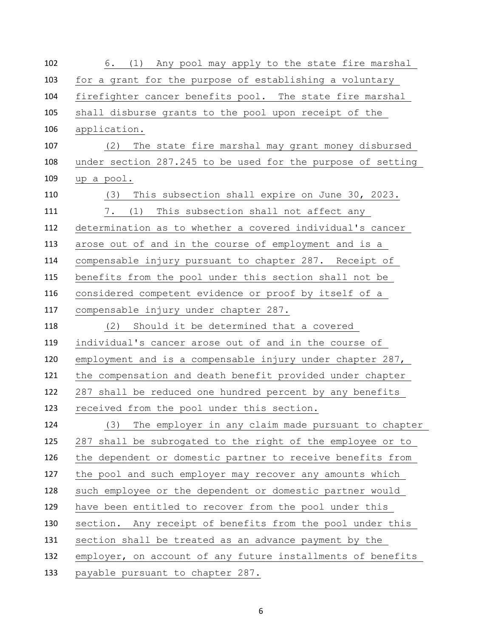| 102 | 6. (1) Any pool may apply to the state fire marshal         |
|-----|-------------------------------------------------------------|
| 103 | for a grant for the purpose of establishing a voluntary     |
| 104 | firefighter cancer benefits pool. The state fire marshal    |
| 105 | shall disburse grants to the pool upon receipt of the       |
| 106 | application.                                                |
| 107 | (2) The state fire marshal may grant money disbursed        |
| 108 | under section 287.245 to be used for the purpose of setting |
| 109 | up a pool.                                                  |
| 110 | This subsection shall expire on June 30, 2023.<br>(3)       |
| 111 | 7.<br>(1)<br>This subsection shall not affect any           |
| 112 | determination as to whether a covered individual's cancer   |
| 113 | arose out of and in the course of employment and is a       |
| 114 | compensable injury pursuant to chapter 287. Receipt of      |
| 115 | benefits from the pool under this section shall not be      |
| 116 | considered competent evidence or proof by itself of a       |
| 117 | compensable injury under chapter 287.                       |
| 118 | Should it be determined that a covered<br>(2)               |
| 119 | individual's cancer arose out of and in the course of       |
| 120 | employment and is a compensable injury under chapter 287,   |
| 121 | the compensation and death benefit provided under chapter   |
| 122 | 287 shall be reduced one hundred percent by any benefits    |
| 123 | received from the pool under this section.                  |
| 124 | The employer in any claim made pursuant to chapter<br>(3)   |
| 125 | 287 shall be subrogated to the right of the employee or to  |
| 126 | the dependent or domestic partner to receive benefits from  |
| 127 | the pool and such employer may recover any amounts which    |
| 128 | such employee or the dependent or domestic partner would    |
| 129 | have been entitled to recover from the pool under this      |
| 130 | section. Any receipt of benefits from the pool under this   |
| 131 | section shall be treated as an advance payment by the       |
| 132 | employer, on account of any future installments of benefits |
| 133 | payable pursuant to chapter 287.                            |